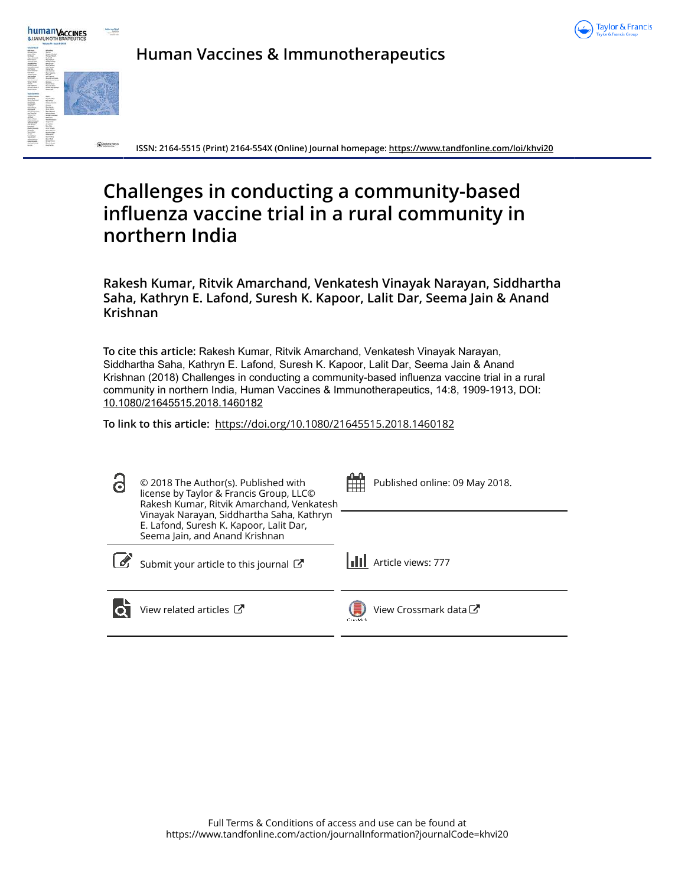



**Human Vaccines & Immunotherapeutics**

**ISSN: 2164-5515 (Print) 2164-554X (Online) Journal homepage: https://www.tandfonline.com/loi/khvi20**

# **Challenges in conducting a community-based influenza vaccine trial in a rural community in northern India**

**Rakesh Kumar, Ritvik Amarchand, Venkatesh Vinayak Narayan, Siddhartha Saha, Kathryn E. Lafond, Suresh K. Kapoor, Lalit Dar, Seema Jain & Anand Krishnan**

**To cite this article:** Rakesh Kumar, Ritvik Amarchand, Venkatesh Vinayak Narayan, Siddhartha Saha, Kathryn E. Lafond, Suresh K. Kapoor, Lalit Dar, Seema Jain & Anand Krishnan (2018) Challenges in conducting a community-based influenza vaccine trial in a rural community in northern India, Human Vaccines & Immunotherapeutics, 14:8, 1909-1913, DOI: 10.1080/21645515.2018.1460182

**To link to this article:** https://doi.org/10.1080/21645515.2018.1460182

| ි | © 2018 The Author(s). Published with<br>license by Taylor & Francis Group, LLCO<br>Rakesh Kumar, Ritvik Amarchand, Venkatesh | ட        | Published online: 09 May 2018. |
|---|------------------------------------------------------------------------------------------------------------------------------|----------|--------------------------------|
|   | Vinayak Narayan, Siddhartha Saha, Kathryn<br>E. Lafond, Suresh K. Kapoor, Lalit Dar,<br>Seema Jain, and Anand Krishnan       |          |                                |
|   | Submit your article to this journal                                                                                          |          | <b>III</b> Article views: 777  |
|   | View related articles C                                                                                                      | CarsMark | View Crossmark data C          |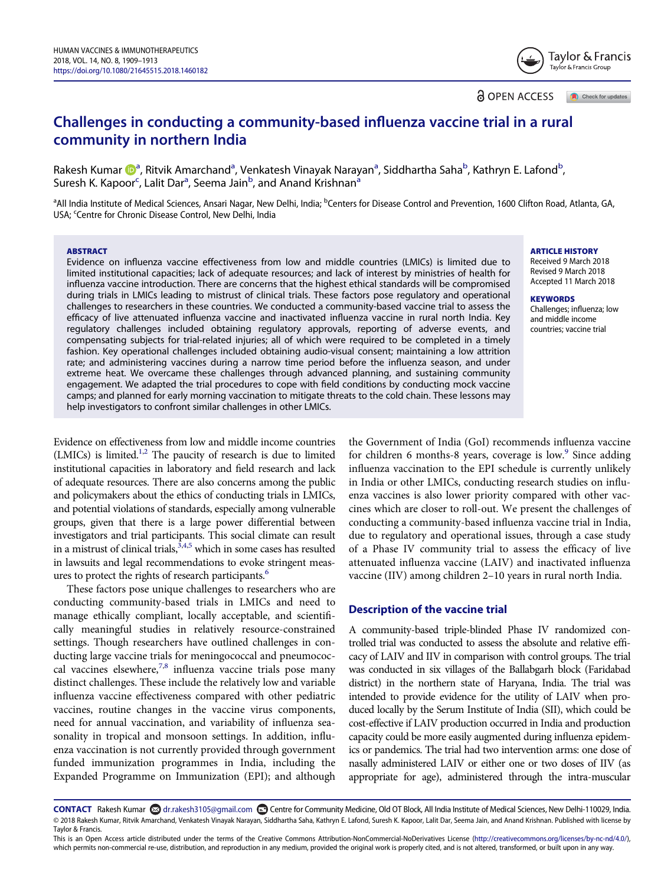Challenges in conducting a community-based influenza vaccine trial in a rural community in northern India

Rakesh Kumar ��ª, Ritvik Amarchand<sup>a</sup>, Venkatesh Vinayak Narayan<sup>a</sup>, Siddhartha Saha<sup>b</sup>, Kathryn E. Lafond<sup>b</sup> , Suresh K. Kapoor<sup>c</sup>, Lalit Dar<sup>a</sup>, Seema Jain<sup>b</sup>, and Anand Krishnan<sup>a</sup>

<sup>a</sup>All India Institute of Medical Sciences, Ansari Nagar, New Delhi, India; <sup>b</sup>Centers for Disease Control and Prevention, 1600 Clifton Road, Atlanta, GA, USA; <sup>c</sup>Centre for Chronic Disease Control, New Delhi, India

## **ABSTRACT**

Evidence on influenza vaccine effectiveness from low and middle countries (LMICs) is limited due to limited institutional capacities; lack of adequate resources; and lack of interest by ministries of health for influenza vaccine introduction. There are concerns that the highest ethical standards will be compromised during trials in LMICs leading to mistrust of clinical trials. These factors pose regulatory and operational challenges to researchers in these countries. We conducted a community-based vaccine trial to assess the efficacy of live attenuated influenza vaccine and inactivated influenza vaccine in rural north India. Key regulatory challenges included obtaining regulatory approvals, reporting of adverse events, and compensating subjects for trial-related injuries; all of which were required to be completed in a timely fashion. Key operational challenges included obtaining audio-visual consent; maintaining a low attrition rate; and administering vaccines during a narrow time period before the influenza season, and under extreme heat. We overcame these challenges through advanced planning, and sustaining community engagement. We adapted the trial procedures to cope with field conditions by conducting mock vaccine camps; and planned for early morning vaccination to mitigate threats to the cold chain. These lessons may help investigators to confront similar challenges in other LMICs.

Evidence on effectiveness from low and middle income countries (LMICs) is limited.<sup>1,2</sup> The paucity of research is due to limited institutional capacities in laboratory and field research and lack of adequate resources. There are also concerns among the public and policymakers about the ethics of conducting trials in LMICs, and potential violations of standards, especially among vulnerable groups, given that there is a large power differential between investigators and trial participants. This social climate can result in a mistrust of clinical trials,  $3,4,5$  which in some cases has resulted in lawsuits and legal recommendations to evoke stringent measures to protect the rights of research participants.<sup>6</sup>

These factors pose unique challenges to researchers who are conducting community-based trials in LMICs and need to manage ethically compliant, locally acceptable, and scientifically meaningful studies in relatively resource-constrained settings. Though researchers have outlined challenges in conducting large vaccine trials for meningococcal and pneumococcal vaccines elsewhere,<sup>7,8</sup> influenza vaccine trials pose many distinct challenges. These include the relatively low and variable influenza vaccine effectiveness compared with other pediatric vaccines, routine changes in the vaccine virus components, need for annual vaccination, and variability of influenza seasonality in tropical and monsoon settings. In addition, influenza vaccination is not currently provided through government funded immunization programmes in India, including the Expanded Programme on Immunization (EPI); and although

the Government of India (GoI) recommends influenza vaccine for children 6 months-8 years, coverage is low.<sup>9</sup> Since adding influenza vaccination to the EPI schedule is currently unlikely in India or other LMICs, conducting research studies on influenza vaccines is also lower priority compared with other vaccines which are closer to roll-out. We present the challenges of conducting a community-based influenza vaccine trial in India, due to regulatory and operational issues, through a case study of a Phase IV community trial to assess the efficacy of live attenuated influenza vaccine (LAIV) and inactivated influenza vaccine (IIV) among children 2–10 years in rural north India.

# Description of the vaccine trial

A community-based triple-blinded Phase IV randomized controlled trial was conducted to assess the absolute and relative efficacy of LAIV and IIV in comparison with control groups. The trial was conducted in six villages of the Ballabgarh block (Faridabad district) in the northern state of Haryana, India. The trial was intended to provide evidence for the utility of LAIV when produced locally by the Serum Institute of India (SII), which could be cost-effective if LAIV production occurred in India and production capacity could be more easily augmented during influenza epidemics or pandemics. The trial had two intervention arms: one dose of nasally administered LAIV or either one or two doses of IIV (as appropriate for age), administered through the intra-muscular

CONTACT Rakesh Kumar **©** dr.rakesh3105@gmail.com **□** Centre for Community Medicine, Old OT Block, All India Institute of Medical Sciences, New Delhi-110029, India. © 2018 Rakesh Kumar, Ritvik Amarchand, Venkatesh Vinayak Narayan, Siddhartha Saha, Kathryn E. Lafond, Suresh K. Kapoor, Lalit Dar, Seema Jain, and Anand Krishnan. Published with license by Taylor & Francis.

ARTICLE HISTORY

Received 9 March 2018 Revised 9 March 2018 Accepted 11 March 2018

#### **KEYWORDS**

Challenges; influenza; low and middle income countries; vaccine trial



Check for updates

**a** OPEN ACCESS

This is an Open Access article distributed under the terms of the Creative Commons Attribution-NonCommercial-NoDerivatives License (http://creativecommons.org/licenses/by-nc-nd/4.0/), which permits non-commercial re-use, distribution, and reproduction in any medium, provided the original work is properly cited, and is not altered, transformed, or built upon in any way.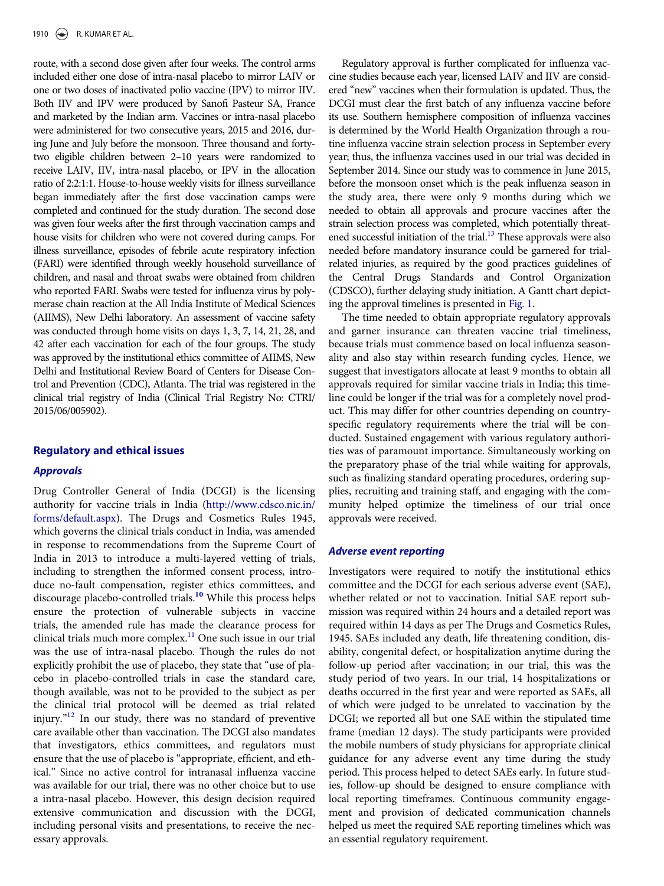route, with a second dose given after four weeks. The control arms included either one dose of intra-nasal placebo to mirror LAIV or one or two doses of inactivated polio vaccine (IPV) to mirror IIV. Both IIV and IPV were produced by Sanofi Pasteur SA, France and marketed by the Indian arm. Vaccines or intra-nasal placebo were administered for two consecutive years, 2015 and 2016, during June and July before the monsoon. Three thousand and fortytwo eligible children between 2–10 years were randomized to receive LAIV, IIV, intra-nasal placebo, or IPV in the allocation ratio of 2:2:1:1. House-to-house weekly visits for illness surveillance began immediately after the first dose vaccination camps were completed and continued for the study duration. The second dose was given four weeks after the first through vaccination camps and house visits for children who were not covered during camps. For illness surveillance, episodes of febrile acute respiratory infection (FARI) were identified through weekly household surveillance of children, and nasal and throat swabs were obtained from children who reported FARI. Swabs were tested for influenza virus by polymerase chain reaction at the All India Institute of Medical Sciences (AIIMS), New Delhi laboratory. An assessment of vaccine safety was conducted through home visits on days 1, 3, 7, 14, 21, 28, and 42 after each vaccination for each of the four groups. The study was approved by the institutional ethics committee of AIIMS, New Delhi and Institutional Review Board of Centers for Disease Control and Prevention (CDC), Atlanta. The trial was registered in the clinical trial registry of India (Clinical Trial Registry No: CTRI/ 2015/06/005902).

## Regulatory and ethical issues

## Approvals

Drug Controller General of India (DCGI) is the licensing authority for vaccine trials in India (http://www.cdsco.nic.in/ forms/default.aspx). The Drugs and Cosmetics Rules 1945, which governs the clinical trials conduct in India, was amended in response to recommendations from the Supreme Court of India in 2013 to introduce a multi-layered vetting of trials, including to strengthen the informed consent process, introduce no-fault compensation, register ethics committees, and discourage placebo-controlled trials.<sup>10</sup> While this process helps ensure the protection of vulnerable subjects in vaccine trials, the amended rule has made the clearance process for clinical trials much more complex.<sup>11</sup> One such issue in our trial was the use of intra-nasal placebo. Though the rules do not explicitly prohibit the use of placebo, they state that "use of placebo in placebo-controlled trials in case the standard care, though available, was not to be provided to the subject as per the clinical trial protocol will be deemed as trial related injury." <sup>12</sup> In our study, there was no standard of preventive care available other than vaccination. The DCGI also mandates that investigators, ethics committees, and regulators must ensure that the use of placebo is "appropriate, efficient, and ethical." Since no active control for intranasal influenza vaccine was available for our trial, there was no other choice but to use a intra-nasal placebo. However, this design decision required extensive communication and discussion with the DCGI, including personal visits and presentations, to receive the necessary approvals.

Regulatory approval is further complicated for influenza vaccine studies because each year, licensed LAIV and IIV are considered "new" vaccines when their formulation is updated. Thus, the DCGI must clear the first batch of any influenza vaccine before its use. Southern hemisphere composition of influenza vaccines is determined by the World Health Organization through a routine influenza vaccine strain selection process in September every year; thus, the influenza vaccines used in our trial was decided in September 2014. Since our study was to commence in June 2015, before the monsoon onset which is the peak influenza season in the study area, there were only 9 months during which we needed to obtain all approvals and procure vaccines after the strain selection process was completed, which potentially threatened successful initiation of the trial. $^{13}$  These approvals were also needed before mandatory insurance could be garnered for trialrelated injuries, as required by the good practices guidelines of the Central Drugs Standards and Control Organization (CDSCO), further delaying study initiation. A Gantt chart depicting the approval timelines is presented in Fig. 1.

The time needed to obtain appropriate regulatory approvals and garner insurance can threaten vaccine trial timeliness, because trials must commence based on local influenza seasonality and also stay within research funding cycles. Hence, we suggest that investigators allocate at least 9 months to obtain all approvals required for similar vaccine trials in India; this timeline could be longer if the trial was for a completely novel product. This may differ for other countries depending on countryspecific regulatory requirements where the trial will be conducted. Sustained engagement with various regulatory authorities was of paramount importance. Simultaneously working on the preparatory phase of the trial while waiting for approvals, such as finalizing standard operating procedures, ordering supplies, recruiting and training staff, and engaging with the community helped optimize the timeliness of our trial once approvals were received.

## Adverse event reporting

Investigators were required to notify the institutional ethics committee and the DCGI for each serious adverse event (SAE), whether related or not to vaccination. Initial SAE report submission was required within 24 hours and a detailed report was required within 14 days as per The Drugs and Cosmetics Rules, 1945. SAEs included any death, life threatening condition, disability, congenital defect, or hospitalization anytime during the follow-up period after vaccination; in our trial, this was the study period of two years. In our trial, 14 hospitalizations or deaths occurred in the first year and were reported as SAEs, all of which were judged to be unrelated to vaccination by the DCGI; we reported all but one SAE within the stipulated time frame (median 12 days). The study participants were provided the mobile numbers of study physicians for appropriate clinical guidance for any adverse event any time during the study period. This process helped to detect SAEs early. In future studies, follow-up should be designed to ensure compliance with local reporting timeframes. Continuous community engagement and provision of dedicated communication channels helped us meet the required SAE reporting timelines which was an essential regulatory requirement.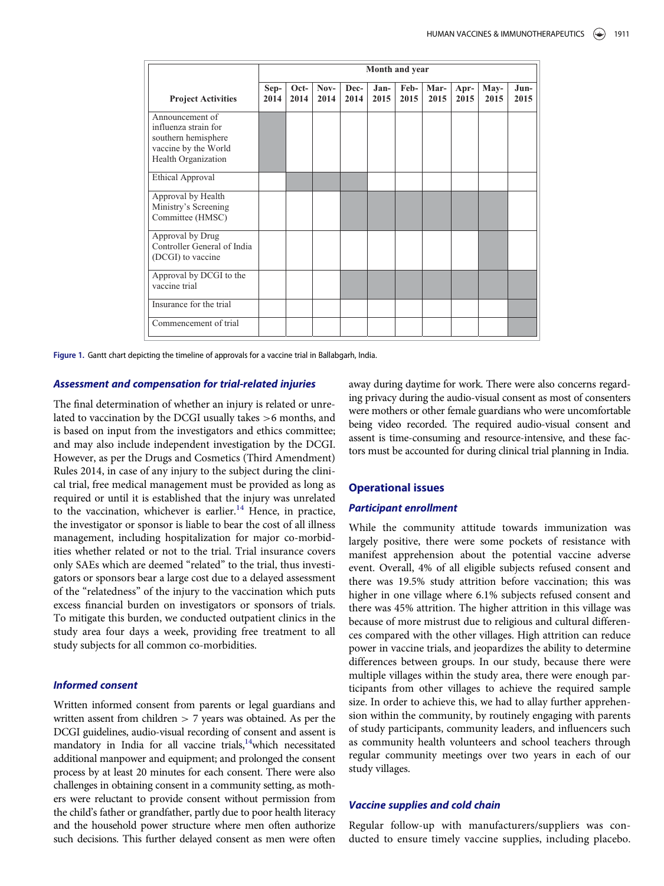|                                                                                                               | Month and year |              |              |              |                |              |              |              |              |              |
|---------------------------------------------------------------------------------------------------------------|----------------|--------------|--------------|--------------|----------------|--------------|--------------|--------------|--------------|--------------|
| <b>Project Activities</b>                                                                                     | Sep-<br>2014   | Oct-<br>2014 | Nov-<br>2014 | Dec-<br>2014 | $Jan-$<br>2015 | Feb-<br>2015 | Mar-<br>2015 | Apr-<br>2015 | May-<br>2015 | Jun-<br>2015 |
| Announcement of<br>influenza strain for<br>southern hemisphere<br>vaccine by the World<br>Health Organization |                |              |              |              |                |              |              |              |              |              |
| <b>Ethical Approval</b>                                                                                       |                |              |              |              |                |              |              |              |              |              |
| Approval by Health<br>Ministry's Screening<br>Committee (HMSC)                                                |                |              |              |              |                |              |              |              |              |              |
| Approval by Drug<br>Controller General of India<br>(DCGI) to vaccine                                          |                |              |              |              |                |              |              |              |              |              |
| Approval by DCGI to the<br>vaccine trial                                                                      |                |              |              |              |                |              |              |              |              |              |
| Insurance for the trial                                                                                       |                |              |              |              |                |              |              |              |              |              |
| Commencement of trial                                                                                         |                |              |              |              |                |              |              |              |              |              |

Figure 1. Gantt chart depicting the timeline of approvals for a vaccine trial in Ballabgarh, India.

## Assessment and compensation for trial-related injuries

The final determination of whether an injury is related or unrelated to vaccination by the DCGI usually takes >6 months, and is based on input from the investigators and ethics committee; and may also include independent investigation by the DCGI. However, as per the Drugs and Cosmetics (Third Amendment) Rules 2014, in case of any injury to the subject during the clinical trial, free medical management must be provided as long as required or until it is established that the injury was unrelated to the vaccination, whichever is earlier.<sup>14</sup> Hence, in practice, the investigator or sponsor is liable to bear the cost of all illness management, including hospitalization for major co-morbidities whether related or not to the trial. Trial insurance covers only SAEs which are deemed "related" to the trial, thus investigators or sponsors bear a large cost due to a delayed assessment of the "relatedness" of the injury to the vaccination which puts excess financial burden on investigators or sponsors of trials. To mitigate this burden, we conducted outpatient clinics in the study area four days a week, providing free treatment to all study subjects for all common co-morbidities.

## Informed consent

Written informed consent from parents or legal guardians and written assent from children > 7 years was obtained. As per the DCGI guidelines, audio-visual recording of consent and assent is mandatory in India for all vaccine trials,<sup>14</sup>which necessitated additional manpower and equipment; and prolonged the consent process by at least 20 minutes for each consent. There were also challenges in obtaining consent in a community setting, as mothers were reluctant to provide consent without permission from the child's father or grandfather, partly due to poor health literacy and the household power structure where men often authorize such decisions. This further delayed consent as men were often away during daytime for work. There were also concerns regarding privacy during the audio-visual consent as most of consenters were mothers or other female guardians who were uncomfortable being video recorded. The required audio-visual consent and assent is time-consuming and resource-intensive, and these factors must be accounted for during clinical trial planning in India.

# Operational issues

### Participant enrollment

While the community attitude towards immunization was largely positive, there were some pockets of resistance with manifest apprehension about the potential vaccine adverse event. Overall, 4% of all eligible subjects refused consent and there was 19.5% study attrition before vaccination; this was higher in one village where 6.1% subjects refused consent and there was 45% attrition. The higher attrition in this village was because of more mistrust due to religious and cultural differences compared with the other villages. High attrition can reduce power in vaccine trials, and jeopardizes the ability to determine differences between groups. In our study, because there were multiple villages within the study area, there were enough participants from other villages to achieve the required sample size. In order to achieve this, we had to allay further apprehension within the community, by routinely engaging with parents of study participants, community leaders, and influencers such as community health volunteers and school teachers through regular community meetings over two years in each of our study villages.

## Vaccine supplies and cold chain

Regular follow-up with manufacturers/suppliers was conducted to ensure timely vaccine supplies, including placebo.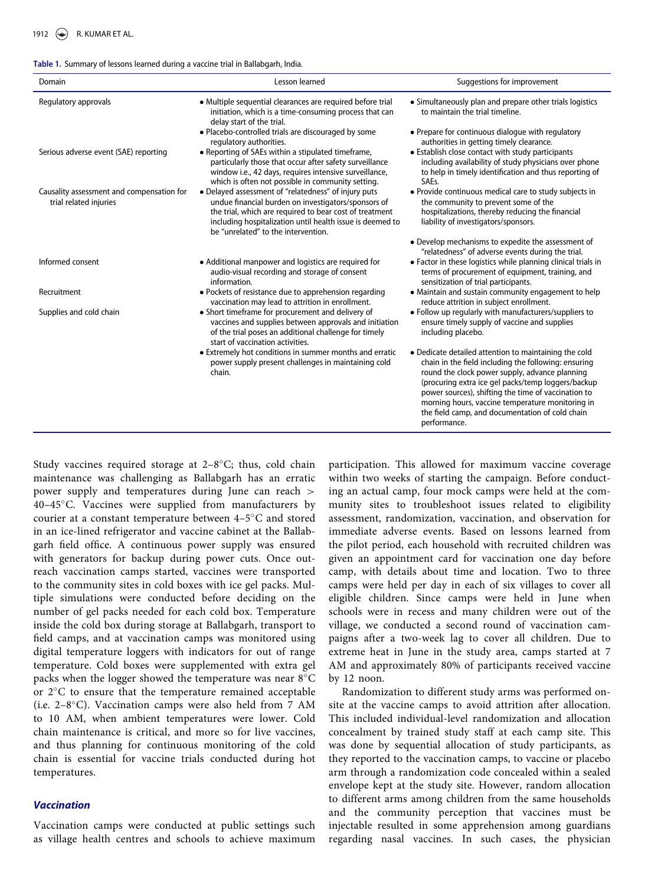#### Table 1. Summary of lessons learned during a vaccine trial in Ballabgarh, India.

| Domain                                                              | Lesson learned                                                                                                                                                                                                                                                             | Suggestions for improvement                                                                                                                                                                                                                                                                                                                                                                         |  |  |  |
|---------------------------------------------------------------------|----------------------------------------------------------------------------------------------------------------------------------------------------------------------------------------------------------------------------------------------------------------------------|-----------------------------------------------------------------------------------------------------------------------------------------------------------------------------------------------------------------------------------------------------------------------------------------------------------------------------------------------------------------------------------------------------|--|--|--|
| Regulatory approvals                                                | • Multiple sequential clearances are required before trial<br>initiation, which is a time-consuming process that can<br>delay start of the trial.                                                                                                                          | • Simultaneously plan and prepare other trials logistics<br>to maintain the trial timeline.                                                                                                                                                                                                                                                                                                         |  |  |  |
|                                                                     | • Placebo-controlled trials are discouraged by some<br>regulatory authorities.                                                                                                                                                                                             | • Prepare for continuous dialogue with regulatory<br>authorities in getting timely clearance.                                                                                                                                                                                                                                                                                                       |  |  |  |
| Serious adverse event (SAE) reporting                               | • Reporting of SAEs within a stipulated timeframe,<br>particularly those that occur after safety surveillance<br>window i.e., 42 days, requires intensive surveillance,<br>which is often not possible in community setting.                                               | • Establish close contact with study participants<br>including availability of study physicians over phone<br>to help in timely identification and thus reporting of<br>SAEs.                                                                                                                                                                                                                       |  |  |  |
| Causality assessment and compensation for<br>trial related injuries | • Delayed assessment of "relatedness" of injury puts<br>undue financial burden on investigators/sponsors of<br>the trial, which are required to bear cost of treatment<br>including hospitalization until health issue is deemed to<br>be "unrelated" to the intervention. | • Provide continuous medical care to study subjects in<br>the community to prevent some of the<br>hospitalizations, thereby reducing the financial<br>liability of investigators/sponsors.                                                                                                                                                                                                          |  |  |  |
|                                                                     |                                                                                                                                                                                                                                                                            | • Develop mechanisms to expedite the assessment of<br>"relatedness" of adverse events during the trial.                                                                                                                                                                                                                                                                                             |  |  |  |
| Informed consent                                                    | • Additional manpower and logistics are required for<br>audio-visual recording and storage of consent<br>information.                                                                                                                                                      | • Factor in these logistics while planning clinical trials in<br>terms of procurement of equipment, training, and<br>sensitization of trial participants.                                                                                                                                                                                                                                           |  |  |  |
| Recruitment                                                         | • Pockets of resistance due to apprehension regarding<br>vaccination may lead to attrition in enrollment.                                                                                                                                                                  | • Maintain and sustain community engagement to help<br>reduce attrition in subject enrollment.                                                                                                                                                                                                                                                                                                      |  |  |  |
| Supplies and cold chain                                             | • Short timeframe for procurement and delivery of<br>vaccines and supplies between approvals and initiation<br>of the trial poses an additional challenge for timely<br>start of vaccination activities.                                                                   | • Follow up regularly with manufacturers/suppliers to<br>ensure timely supply of vaccine and supplies<br>including placebo.                                                                                                                                                                                                                                                                         |  |  |  |
|                                                                     | • Extremely hot conditions in summer months and erratic<br>power supply present challenges in maintaining cold<br>chain.                                                                                                                                                   | • Dedicate detailed attention to maintaining the cold<br>chain in the field including the following: ensuring<br>round the clock power supply, advance planning<br>(procuring extra ice gel packs/temp loggers/backup<br>power sources), shifting the time of vaccination to<br>morning hours, vaccine temperature monitoring in<br>the field camp, and documentation of cold chain<br>performance. |  |  |  |

Study vaccines required storage at 2-8°C; thus, cold chain maintenance was challenging as Ballabgarh has an erratic power supply and temperatures during June can reach > 40–45C. Vaccines were supplied from manufacturers by courier at a constant temperature between 4–5 C and stored in an ice-lined refrigerator and vaccine cabinet at the Ballabgarh field office. A continuous power supply was ensured with generators for backup during power cuts. Once outreach vaccination camps started, vaccines were transported to the community sites in cold boxes with ice gel packs. Multiple simulations were conducted before deciding on the number of gel packs needed for each cold box. Temperature inside the cold box during storage at Ballabgarh, transport to field camps, and at vaccination camps was monitored using digital temperature loggers with indicators for out of range temperature. Cold boxes were supplemented with extra gel packs when the logger showed the temperature was near  $8^{\circ}$ C or  $2^{\circ}$ C to ensure that the temperature remained acceptable (i.e. 2–8 C). Vaccination camps were also held from 7 AM to 10 AM, when ambient temperatures were lower. Cold chain maintenance is critical, and more so for live vaccines, and thus planning for continuous monitoring of the cold chain is essential for vaccine trials conducted during hot temperatures.

## Vaccination

Vaccination camps were conducted at public settings such as village health centres and schools to achieve maximum

participation. This allowed for maximum vaccine coverage within two weeks of starting the campaign. Before conducting an actual camp, four mock camps were held at the community sites to troubleshoot issues related to eligibility assessment, randomization, vaccination, and observation for immediate adverse events. Based on lessons learned from the pilot period, each household with recruited children was given an appointment card for vaccination one day before camp, with details about time and location. Two to three camps were held per day in each of six villages to cover all eligible children. Since camps were held in June when schools were in recess and many children were out of the village, we conducted a second round of vaccination campaigns after a two-week lag to cover all children. Due to extreme heat in June in the study area, camps started at 7 AM and approximately 80% of participants received vaccine by 12 noon.

Randomization to different study arms was performed onsite at the vaccine camps to avoid attrition after allocation. This included individual-level randomization and allocation concealment by trained study staff at each camp site. This was done by sequential allocation of study participants, as they reported to the vaccination camps, to vaccine or placebo arm through a randomization code concealed within a sealed envelope kept at the study site. However, random allocation to different arms among children from the same households and the community perception that vaccines must be injectable resulted in some apprehension among guardians regarding nasal vaccines. In such cases, the physician